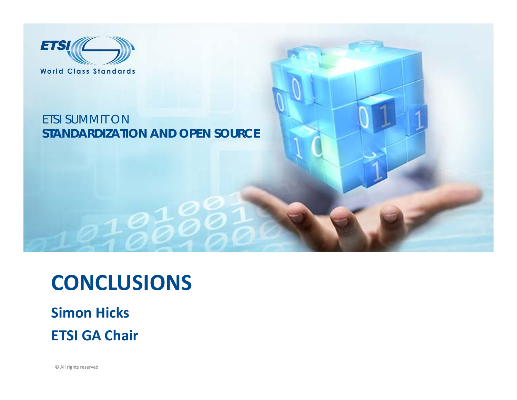

#### ETSI SUMMIT ON**STANDARDIZATION AND OPEN SOURCE**

### **CONCLUSIONS**

#### **Simon Hicks ETSI GA Chair**

© All rights reserved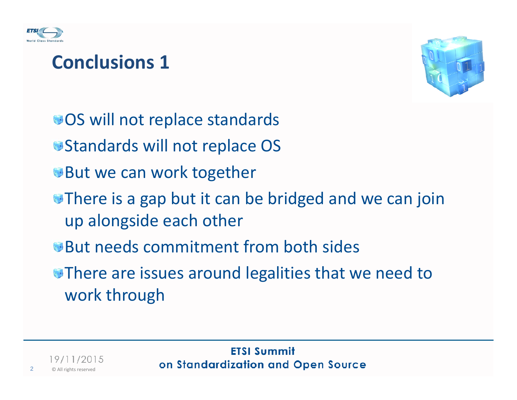



OS will not replace standards

- Standards will not replace OS
- But we can work together
- There is <sup>a</sup> gap but it can be bridged and we can join up alongside each other
- But needs commitment from both sides
- There are issues around legalities that we need to work through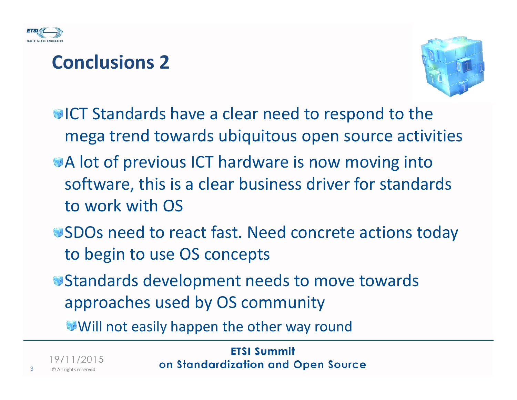



- ICT Standards have <sup>a</sup> clear need to respond to the mega trend towards ubiquitous open source activities
- A lot of previous ICT hardware is now moving into software, this is <sup>a</sup> clear business driver for standards to work with OS
- SDOs need to react fast. Need concrete actions today to begin to use OS concepts
- Standards development needs to move towards approaches used by OS community

Will not easily happen the other way round

**ETSI Summit** on Standardization and Open Source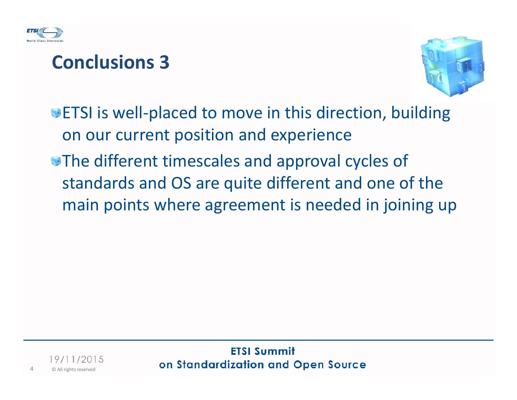



ETSI is well‐placed to move in this direction, building on our current position and experience

The different timescales and approval cycles of standards and OS are quite different and one of the main points where agreement is needed in joining up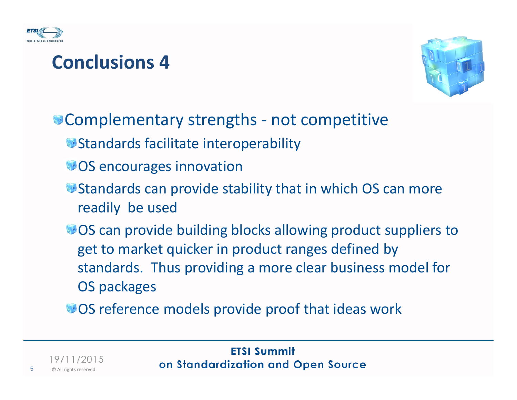



Complementary strengths ‐ not competitive

- Standards facilitate interoperability
- OS encourages innovation
- Standards can provide stability that in which OS can more readily be used
- OS can provide building blocks allowing product suppliers to get to market quicker in product ranges defined by standards. Thus providing <sup>a</sup> more clear business model for OS packages
- OS reference models provide proof that ideas work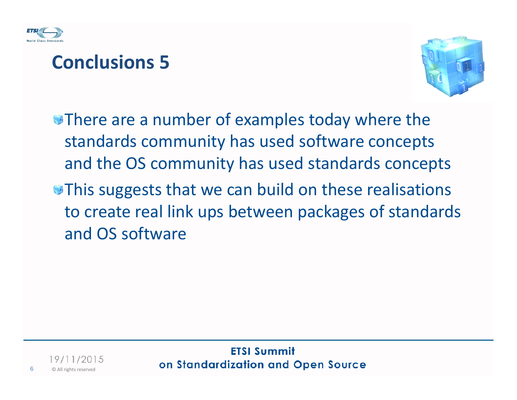



There are <sup>a</sup> number of examples today where the standards community has used software concepts and the OS community has used standards concepts

This suggests that we can build on these realisations to create real link ups between packages of standards and OS software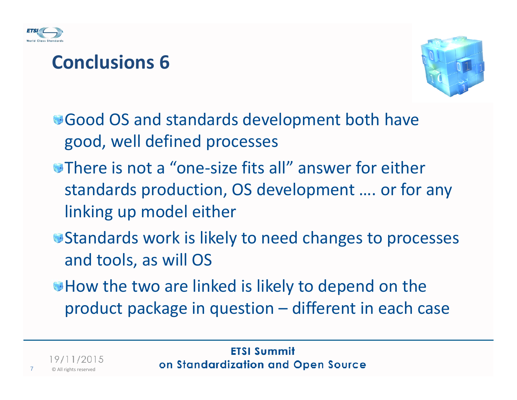



Good OS and standards development both have good, well defined processes

- There is not <sup>a</sup> "one‐size fits all" answer for either standards production, OS development …. or for any linking up model either
- Standards work is likely to need changes to processes and tools, as will OS
- How the two are linked is likely to depend on the product package in question – different in each case

19/11/2015 © All rights reserved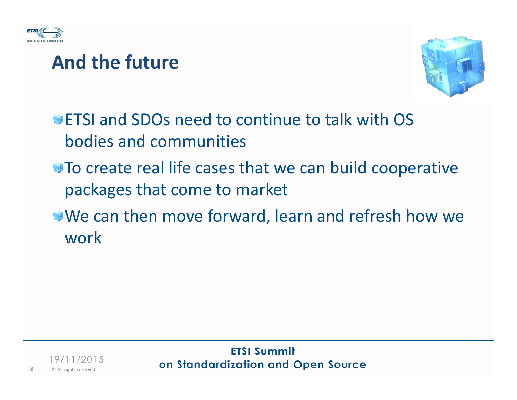

#### **And the future**



ETSI and SDOs need to continue to talk with OS bodies and communities

- To create real life cases that we can build cooperative packages that come to market
- We can then move forward, learn and refresh how we work